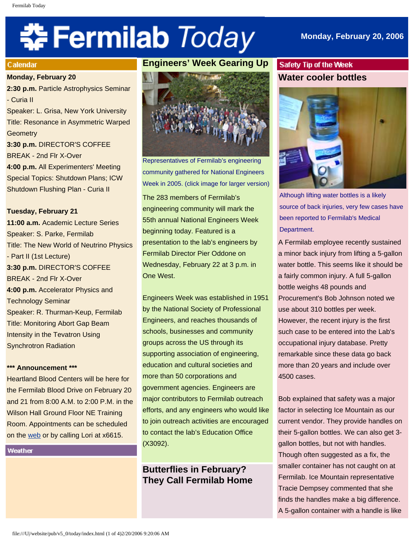# 축 Fermilab Today

## **Calendar**

## **Monday, February 20**

**2:30 p.m.** Particle Astrophysics Seminar - Curia II Speaker: L. Grisa, New York University Title: Resonance in Asymmetric Warped **Geometry 3:30 p.m.** DIRECTOR'S COFFEE BREAK - 2nd Flr X-Over **4:00 p.m.** All Experimenters' Meeting Special Topics: Shutdown Plans; ICW Shutdown Flushing Plan - Curia II

**Tuesday, February 21 11:00 a.m.** Academic Lecture Series Speaker: S. Parke, Fermilab Title: The New World of Neutrino Physics - Part II (1st Lecture) **3:30 p.m.** DIRECTOR'S COFFEE BREAK - 2nd Flr X-Over **4:00 p.m.** Accelerator Physics and

Technology Seminar Speaker: R. Thurman-Keup, Fermilab Title: Monitoring Abort Gap Beam Intensity in the Tevatron Using Synchrotron Radiation

## **\*\*\* Announcement \*\*\***

Heartland Blood Centers will be here for the Fermilab Blood Drive on February 20 and 21 from 8:00 A.M. to 2:00 P.M. in the Wilson Hall Ground Floor NE Training Room. Appointments can be scheduled on the [web](http://www-esh.fnal.gov/) or by calling Lori at x6615.

## Weather

# **Engineers' Week Gearing Up**



Representatives of Fermilab's engineering community gathered for National Engineers Week in 2005. (click image for larger version) The 283 members of Fermilab's engineering community will mark the 55th annual National Engineers Week beginning today. Featured is a presentation to the lab's engineers by Fermilab Director Pier Oddone on Wednesday, February 22 at 3 p.m. in One West.

Engineers Week was established in 1951 by the National Society of Professional Engineers, and reaches thousands of schools, businesses and community groups across the US through its supporting association of engineering, education and cultural societies and more than 50 corporations and government agencies. Engineers are major contributors to Fermilab outreach efforts, and any engineers who would like to join outreach activities are encouraged to contact the lab's Education Office (X3092).

# **Butterflies in February? They Call Fermilab Home**

# Safety Tip of the Week **Water cooler bottles**



Although lifting water bottles is a likely source of back injuries, very few cases have been reported to Fermilab's Medical Department.

A Fermilab employee recently sustained a minor back injury from lifting a 5-gallon water bottle. This seems like it should be a fairly common injury. A full 5-gallon bottle weighs 48 pounds and Procurement's Bob Johnson noted we use about 310 bottles per week. However, the recent injury is the first such case to be entered into the Lab's occupational injury database. Pretty remarkable since these data go back more than 20 years and include over 4500 cases.

Bob explained that safety was a major factor in selecting Ice Mountain as our current vendor. They provide handles on their 5-gallon bottles. We can also get 3 gallon bottles, but not with handles. Though often suggested as a fix, the smaller container has not caught on at Fermilab. Ice Mountain representative Tracie Dempsey commented that she finds the handles make a big difference. A 5-gallon container with a handle is like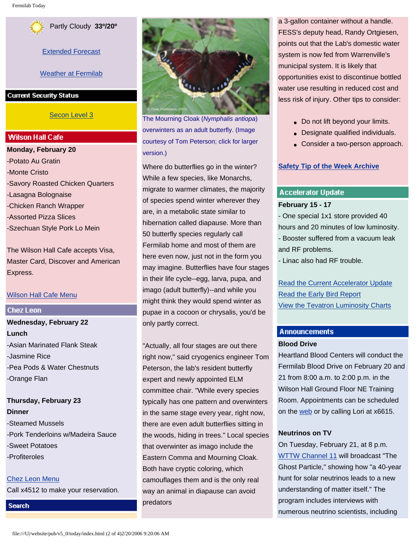

[Extended Forecast](http://www.srh.noaa.gov/data/forecasts/ILZ012.php?warncounty=ILC089&city=Batavia)

[Weather at Fermilab](http://www-esh.fnal.gov/pls/default/weather.html)

**Current Security Status** 

## [Secon Level 3](http://www.fnal.gov/pub/about/public_affairs/currentstatus.html)

## **Wilson Hall Cafe**

**Monday, February 20** -Potato Au Gratin -Monte Cristo -Savory Roasted Chicken Quarters -Lasagna Bolognaise -Chicken Ranch Wrapper -Assorted Pizza Slices -Szechuan Style Pork Lo Mein

The Wilson Hall Cafe accepts Visa, Master Card, Discover and American Express.

## [Wilson Hall Cafe Menu](http://lss.fnal.gov/cafe/)

## **Chez Leon**

**Search** 

# **Wednesday, February 22 Lunch** -Asian Marinated Flank Steak -Jasmine Rice -Pea Pods & Water Chestnuts -Orange Flan

**Thursday, February 23 Dinner** -Steamed Mussels -Pork Tenderloins w/Madeira Sauce -Sweet Potatoes -Profiteroles

[Chez Leon Menu](http://lss.fnal.gov/chezleon/index.html) Call x4512 to make your reservation.

The Mourning Cloak (*Nymphalis antiopa*) overwinters as an adult butterfly. (Image courtesy of Tom Peterson; click for larger version.)

Where do butterflies go in the winter? While a few species, like Monarchs, migrate to warmer climates, the majority of species spend winter wherever they are, in a metabolic state similar to hibernation called diapause. More than 50 butterfly species regularly call Fermilab home and most of them are here even now, just not in the form you may imagine. Butterflies have four stages in their life cycle--egg, larva, pupa, and imago (adult butterfly)--and while you might think they would spend winter as pupae in a cocoon or chrysalis, you'd be only partly correct.

"Actually, all four stages are out there right now," said cryogenics engineer Tom Peterson, the lab's resident butterfly expert and newly appointed ELM committee chair. "While every species typically has one pattern and overwinters in the same stage every year, right now, there are even adult butterflies sitting in the woods, hiding in trees." Local species that overwinter as imago include the Eastern Comma and Mourning Cloak. Both have cryptic coloring, which camouflages them and is the only real way an animal in diapause can avoid predators

a 3-gallon container without a handle. FESS's deputy head, Randy Ortgiesen, points out that the Lab's domestic water system is now fed from Warrenville's municipal system. It is likely that opportunities exist to discontinue bottled water use resulting in reduced cost and less risk of injury. Other tips to consider:

- Do not lift beyond your limits.
- Designate qualified individuals.
- Consider a two-person approach.

## **[Safety Tip of the Week Archive](http://www.fnal.gov/pub/today/safety/index.html)**

# **Accelerator Update February 15 - 17**

- One special 1x1 store provided 40 hours and 20 minutes of low luminosity. - Booster suffered from a vacuum leak and RF problems.

- Linac also had RF trouble.

[Read the Current Accelerator Update](http://www.fnal.gov/pub/news06/update.html) [Read the Early Bird Report](http://www-bd.fnal.gov/earlybird/ebird.html) [View the Tevatron Luminosity Charts](http://www.fnal.gov/pub/now/tevlum.html)

# **Announcements**

## **Blood Drive**

Heartland Blood Centers will conduct the Fermilab Blood Drive on February 20 and 21 from 8:00 a.m. to 2:00 p.m. in the Wilson Hall Ground Floor NE Training Room. Appointments can be scheduled on the [web](http://www-esh.fnal.gov/) or by calling Lori at x6615.

## **Neutrinos on TV**

On Tuesday, February 21, at 8 p.m. [WTTW Channel 11](http://www.wttw.com/main.taf?erube_fh=wttw&wttw.submit.EpisodeDetail=1&wttw.EpisodeID=133012&wttw.Channel=WTTW) will broadcast "The Ghost Particle," showing how "a 40-year hunt for solar neutrinos leads to a new understanding of matter itself." The program includes interviews with numerous neutrino scientists, including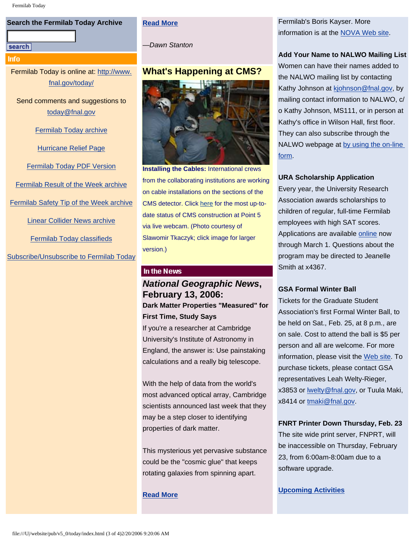## **Search the Fermilab Today Archive**

#### search

Info

Fermilab Today is online at: [http://www.](http://www.fnal.gov/today/) [fnal.gov/today/](http://www.fnal.gov/today/)

Send comments and suggestions to [today@fnal.gov](mailto:today@fnal.gov)

[Fermilab Today archive](http://www.fnal.gov/pub/today/archive.html)

[Hurricane Relief Page](http://www.fnal.gov/pub/today/katrina_relief.html)

[Fermilab Today PDF Version](http://www.fnal.gov/pub/today/archive.html)

[Fermilab Result of the Week archive](http://www.fnal.gov/pub/today/resultoftheweek/index.html)

[Fermilab Safety Tip of the Week archive](http://www.fnal.gov/pub/today/safety/index.html)

[Linear Collider News archive](http://www.fnal.gov/pub/today/linearcollider/index.html)

[Fermilab Today classifieds](http://www.fnal.gov/pub/today/classifieds.html)

[Subscribe/Unsubscribe to Fermilab Today](http://www.fnal.gov/pub/today/subscription.html)

## **[Read More](http://www.fnal.gov/pub/today/readmore_20060220.html)**

*—Dawn Stanton*

# **What's Happening at CMS?**



**Installing the Cables:** International crews from the collaborating institutions are working on cable installations on the sections of the CMS detector. Click [here](http://cmsinfo.cern.ch/outreach/cmseye/index.html) for the most up-todate status of CMS construction at Point 5 via live webcam. (Photo courtesy of Slawomir Tkaczyk; click image for larger version.)

## In the News

# *National Geographic News***, February 13, 2006: Dark Matter Properties "Measured" for**

**First Time, Study Says**  If you're a researcher at Cambridge

University's Institute of Astronomy in England, the answer is: Use painstaking calculations and a really big telescope.

With the help of data from the world's most advanced optical array, Cambridge scientists announced last week that they may be a step closer to identifying properties of dark matter.

This mysterious yet pervasive substance could be the "cosmic glue" that keeps rotating galaxies from spinning apart.

## **[Read More](http://news.nationalgeographic.com/news/2006/02/0213_060213_dark_matter.html)**

Fermilab's Boris Kayser. More information is at the [NOVA Web site](http://www.pbs.org/wgbh/nova/neutrino/).

## **Add Your Name to NALWO Mailing List**

Women can have their names added to the NALWO mailing list by contacting Kathy Johnson at [kjohnson@fnal.gov,](mailto:kjohnson@fnal.gov) by mailing contact information to NALWO, c/ o Kathy Johnson, MS111, or in person at Kathy's office in Wilson Hall, first floor. They can also subscribe through the NALWO webpage at [by using the on-line](http://www.fnal.gov/orgs/nalwo/) [form](http://www.fnal.gov/orgs/nalwo/).

## **URA Scholarship Application**

Every year, the University Research Association awards scholarships to children of regular, full-time Fermilab employees with high SAT scores. Applications are available [online](http://lss.fnal.gov/section/URAscholarship.html) now through March 1. Questions about the program may be directed to Jeanelle Smith at x4367.

## **GSA Formal Winter Ball**

Tickets for the Graduate Student Association's first Formal Winter Ball, to be held on Sat., Feb. 25, at 8 p.m., are on sale. Cost to attend the ball is \$5 per person and all are welcome. For more information, please visit the [Web site](http://www.fnal.gov/orgs/gsa/calendar/winterball/winterball.html). To purchase tickets, please contact GSA representatives Leah Welty-Rieger, x3853 or [lwelty@fnal.gov,](mailto:lwelty@fnal.gov) or Tuula Maki, x8414 or [tmaki@fnal.gov.](mailto:tmaki@fnal.gov)

**FNRT Printer Down Thursday, Feb. 23**

The site wide print server, FNPRT, will be inaccessible on Thursday, February 23, from 6:00am-8:00am due to a software upgrade.

#### **[Upcoming Activities](http://www.fnal.gov/pub/today/upcoming_activities.html)**